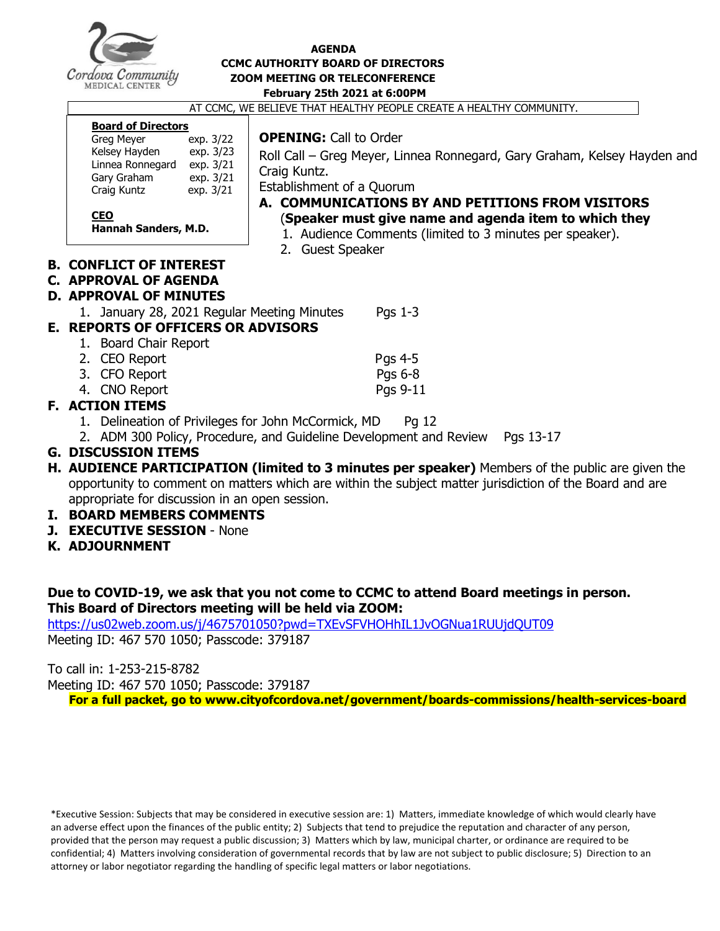

#### **AGENDA CCMC AUTHORITY BOARD OF DIRECTORS ZOOM MEETING OR TELECONFERENCE February 25th 2021 at 6:00PM**

AT CCMC, WE BELIEVE THAT HEALTHY PEOPLE CREATE A HEALTHY COMMUNITY.

#### **Board of Directors**

| <b>Greg Meyer</b> | exp. 3/22 |
|-------------------|-----------|
| Kelsey Hayden     | exp. 3/23 |
| Linnea Ronnegard  | exp. 3/21 |
| Gary Graham       | exp. 3/21 |
| Craig Kuntz       | exp. 3/21 |
|                   |           |
| CEU               |           |

#### **OPENING:** Call to Order

Roll Call – Greg Meyer, Linnea Ronnegard, Gary Graham, Kelsey Hayden and Craig Kuntz.

Establishment of a Quorum

#### **A. COMMUNICATIONS BY AND PETITIONS FROM VISITORS** (**Speaker must give name and agenda item to which they**

- **are addressing.)** 1. Audience Comments (limited to 3 minutes per speaker).
- 2. Guest Speaker

#### **B. CONFLICT OF INTEREST**

**Hannah Sanders, M.D.**

#### **C. APPROVAL OF AGENDA**

#### **D. APPROVAL OF MINUTES**

1. January 28, 2021 Regular Meeting Minutes Pgs 1-3

## **E. REPORTS OF OFFICERS OR ADVISORS**

1. Board Chair Report 2. CEO Report Passet and Passet and Passet and Passet and Passet and Passet and Passet and Passet and Passet and Passet and Passet and Passet and Passet and Passet and Passet and Passet and Passet and Passet and Passet and 3. CFO Report Pgs 6-8 4. CNO Report Pgs 9-11

## **F. ACTION ITEMS**

- 1. Delineation of Privileges for John McCormick, MD Pg 12
- 2. ADM 300 Policy, Procedure, and Guideline Development and Review Pgs 13-17

#### **G. DISCUSSION ITEMS**

- **H. AUDIENCE PARTICIPATION (limited to 3 minutes per speaker)** Members of the public are given the opportunity to comment on matters which are within the subject matter jurisdiction of the Board and are appropriate for discussion in an open session.
- **I. BOARD MEMBERS COMMENTS**
- **J. EXECUTIVE SESSION** None
- **K. ADJOURNMENT**

#### **Due to COVID-19, we ask that you not come to CCMC to attend Board meetings in person. This Board of Directors meeting will be held via ZOOM:**

<https://us02web.zoom.us/j/4675701050?pwd=TXEvSFVHOHhIL1JvOGNua1RUUjdQUT09>

Meeting ID: 467 570 1050; Passcode: 379187

To call in: 1-253-215-8782

Meeting ID: 467 570 1050; Passcode: 379187

**For a full packet, go to www.cityofcordova.net/government/boards-commissions/health-services-board**

\*Executive Session: Subjects that may be considered in executive session are: 1) Matters, immediate knowledge of which would clearly have an adverse effect upon the finances of the public entity; 2) Subjects that tend to prejudice the reputation and character of any person, provided that the person may request a public discussion; 3) Matters which by law, municipal charter, or ordinance are required to be confidential; 4) Matters involving consideration of governmental records that by law are not subject to public disclosure; 5) Direction to an attorney or labor negotiator regarding the handling of specific legal matters or labor negotiations.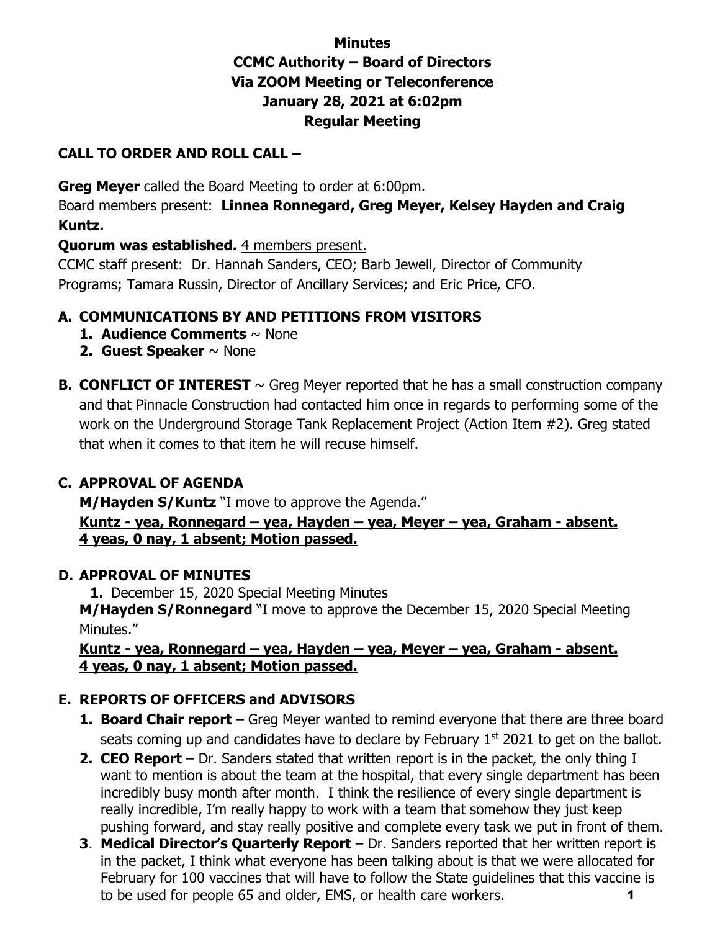# **Minutes CCMC Authority – Board of Directors Via ZOOM Meeting or Teleconference January 28, 2021 at 6:02pm Regular Meeting**

# **CALL TO ORDER AND ROLL CALL –**

**Greg Meyer** called the Board Meeting to order at 6:00pm.

Board members present: **Linnea Ronnegard, Greg Meyer, Kelsey Hayden and Craig Kuntz.** 

# **Quorum was established.** 4 members present.

CCMC staff present: Dr. Hannah Sanders, CEO; Barb Jewell, Director of Community Programs; Tamara Russin, Director of Ancillary Services; and Eric Price, CFO.

# **A. COMMUNICATIONS BY AND PETITIONS FROM VISITORS**

- **1. Audience Comments** ~ None
- **2. Guest Speaker** ~ None
- **B. CONFLICT OF INTEREST**  $\sim$  Greg Meyer reported that he has a small construction company and that Pinnacle Construction had contacted him once in regards to performing some of the work on the Underground Storage Tank Replacement Project (Action Item #2). Greg stated that when it comes to that item he will recuse himself.

# **C. APPROVAL OF AGENDA**

**M/Hayden S/Kuntz** "I move to approve the Agenda."

**Kuntz - yea, Ronnegard – yea, Hayden – yea, Meyer – yea, Graham - absent. 4 yeas, 0 nay, 1 absent; Motion passed.**

# **D. APPROVAL OF MINUTES**

**1.** December 15, 2020 Special Meeting Minutes **M/Hayden S/Ronnegard** "I move to approve the December 15, 2020 Special Meeting Minutes."

## **Kuntz - yea, Ronnegard – yea, Hayden – yea, Meyer – yea, Graham - absent. 4 yeas, 0 nay, 1 absent; Motion passed.**

# **E. REPORTS OF OFFICERS and ADVISORS**

- **1. Board Chair report** Greg Meyer wanted to remind everyone that there are three board seats coming up and candidates have to declare by February  $1<sup>st</sup>$  2021 to get on the ballot.
- **2. CEO Report** Dr. Sanders stated that written report is in the packet, the only thing I want to mention is about the team at the hospital, that every single department has been incredibly busy month after month. I think the resilience of every single department is really incredible, I'm really happy to work with a team that somehow they just keep pushing forward, and stay really positive and complete every task we put in front of them.
- **3**. **Medical Director's Quarterly Report** Dr. Sanders reported that her written report is in the packet, I think what everyone has been talking about is that we were allocated for February for 100 vaccines that will have to follow the State guidelines that this vaccine is to be used for people 65 and older, EMS, or health care workers. 1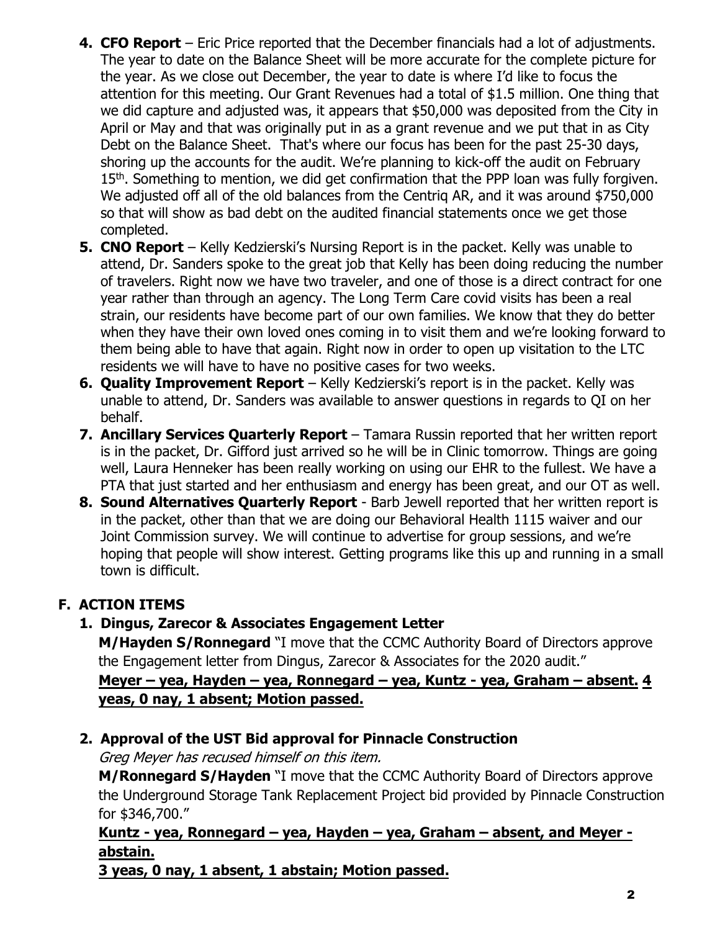- **4. CFO Report** Eric Price reported that the December financials had a lot of adjustments. The year to date on the Balance Sheet will be more accurate for the complete picture for the year. As we close out December, the year to date is where I'd like to focus the attention for this meeting. Our Grant Revenues had a total of \$1.5 million. One thing that we did capture and adjusted was, it appears that \$50,000 was deposited from the City in April or May and that was originally put in as a grant revenue and we put that in as City Debt on the Balance Sheet. That's where our focus has been for the past 25-30 days, shoring up the accounts for the audit. We're planning to kick-off the audit on February 15<sup>th</sup>. Something to mention, we did get confirmation that the PPP loan was fully forgiven. We adjusted off all of the old balances from the Centriq AR, and it was around \$750,000 so that will show as bad debt on the audited financial statements once we get those completed.
- **5. CNO Report** Kelly Kedzierski's Nursing Report is in the packet. Kelly was unable to attend, Dr. Sanders spoke to the great job that Kelly has been doing reducing the number of travelers. Right now we have two traveler, and one of those is a direct contract for one year rather than through an agency. The Long Term Care covid visits has been a real strain, our residents have become part of our own families. We know that they do better when they have their own loved ones coming in to visit them and we're looking forward to them being able to have that again. Right now in order to open up visitation to the LTC residents we will have to have no positive cases for two weeks.
- **6. Quality Improvement Report** Kelly Kedzierski's report is in the packet. Kelly was unable to attend, Dr. Sanders was available to answer questions in regards to QI on her behalf.
- **7. Ancillary Services Quarterly Report** Tamara Russin reported that her written report is in the packet, Dr. Gifford just arrived so he will be in Clinic tomorrow. Things are going well, Laura Henneker has been really working on using our EHR to the fullest. We have a PTA that just started and her enthusiasm and energy has been great, and our OT as well.
- **8. Sound Alternatives Quarterly Report** Barb Jewell reported that her written report is in the packet, other than that we are doing our Behavioral Health 1115 waiver and our Joint Commission survey. We will continue to advertise for group sessions, and we're hoping that people will show interest. Getting programs like this up and running in a small town is difficult.

# **F. ACTION ITEMS**

# **1. Dingus, Zarecor & Associates Engagement Letter**

**M/Hayden S/Ronnegard** "I move that the CCMC Authority Board of Directors approve the Engagement letter from Dingus, Zarecor & Associates for the 2020 audit." **Meyer – yea, Hayden – yea, Ronnegard – yea, Kuntz - yea, Graham – absent. 4 yeas, 0 nay, 1 absent; Motion passed.**

# **2. Approval of the UST Bid approval for Pinnacle Construction**

Greg Meyer has recused himself on this item.

**M/Ronnegard S/Hayden** "I move that the CCMC Authority Board of Directors approve the Underground Storage Tank Replacement Project bid provided by Pinnacle Construction for \$346,700."

# **Kuntz - yea, Ronnegard – yea, Hayden – yea, Graham – absent, and Meyer abstain.**

**3 yeas, 0 nay, 1 absent, 1 abstain; Motion passed.**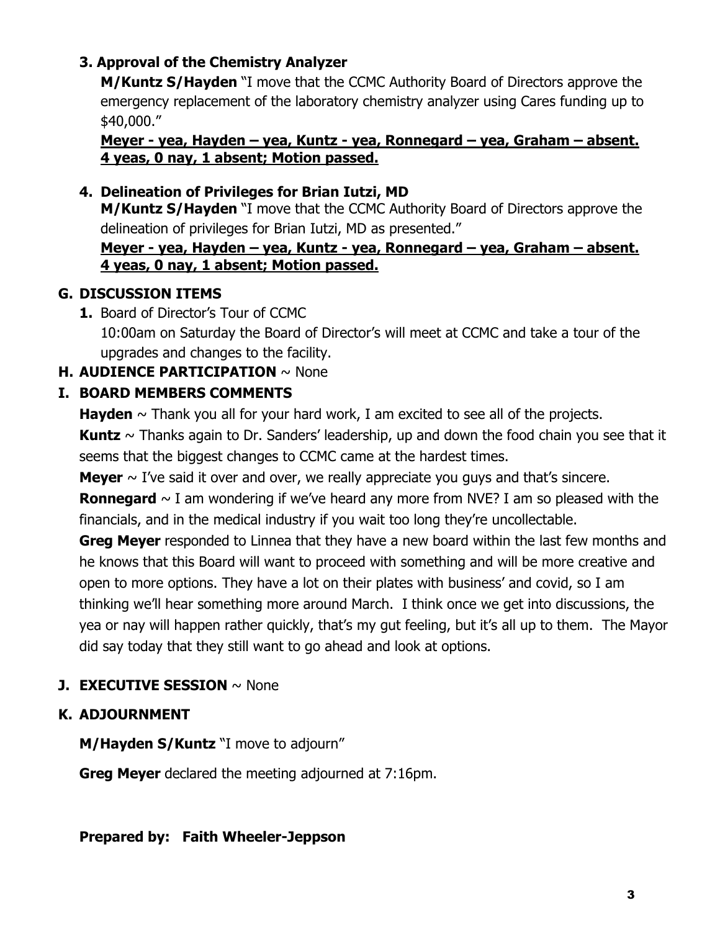# **3. Approval of the Chemistry Analyzer**

**M/Kuntz S/Hayden** "I move that the CCMC Authority Board of Directors approve the emergency replacement of the laboratory chemistry analyzer using Cares funding up to \$40,000."

**Meyer - yea, Hayden – yea, Kuntz - yea, Ronnegard – yea, Graham – absent. 4 yeas, 0 nay, 1 absent; Motion passed.**

# **4. Delineation of Privileges for Brian Iutzi, MD**

**M/Kuntz S/Hayden** "I move that the CCMC Authority Board of Directors approve the delineation of privileges for Brian Iutzi, MD as presented."

## **Meyer - yea, Hayden – yea, Kuntz - yea, Ronnegard – yea, Graham – absent. 4 yeas, 0 nay, 1 absent; Motion passed.**

# **G. DISCUSSION ITEMS**

**1.** Board of Director's Tour of CCMC 10:00am on Saturday the Board of Director's will meet at CCMC and take a tour of the upgrades and changes to the facility.

# **H. AUDIENCE PARTICIPATION** ~ None

# **I. BOARD MEMBERS COMMENTS**

**Hayden**  $\sim$  Thank you all for your hard work, I am excited to see all of the projects.

**Kuntz** ~ Thanks again to Dr. Sanders' leadership, up and down the food chain you see that it seems that the biggest changes to CCMC came at the hardest times.

**Meyer**  $\sim$  I've said it over and over, we really appreciate you guys and that's sincere.

**Ronnegard**  $\sim$  I am wondering if we've heard any more from NVE? I am so pleased with the financials, and in the medical industry if you wait too long they're uncollectable.

**Greg Meyer** responded to Linnea that they have a new board within the last few months and he knows that this Board will want to proceed with something and will be more creative and open to more options. They have a lot on their plates with business' and covid, so I am thinking we'll hear something more around March. I think once we get into discussions, the yea or nay will happen rather quickly, that's my gut feeling, but it's all up to them. The Mayor did say today that they still want to go ahead and look at options.

# **J. EXECUTIVE SESSION** ~ None

# **K. ADJOURNMENT**

**M/Hayden S/Kuntz** "I move to adjourn"

**Greg Meyer** declared the meeting adjourned at 7:16pm.

# **Prepared by: Faith Wheeler-Jeppson**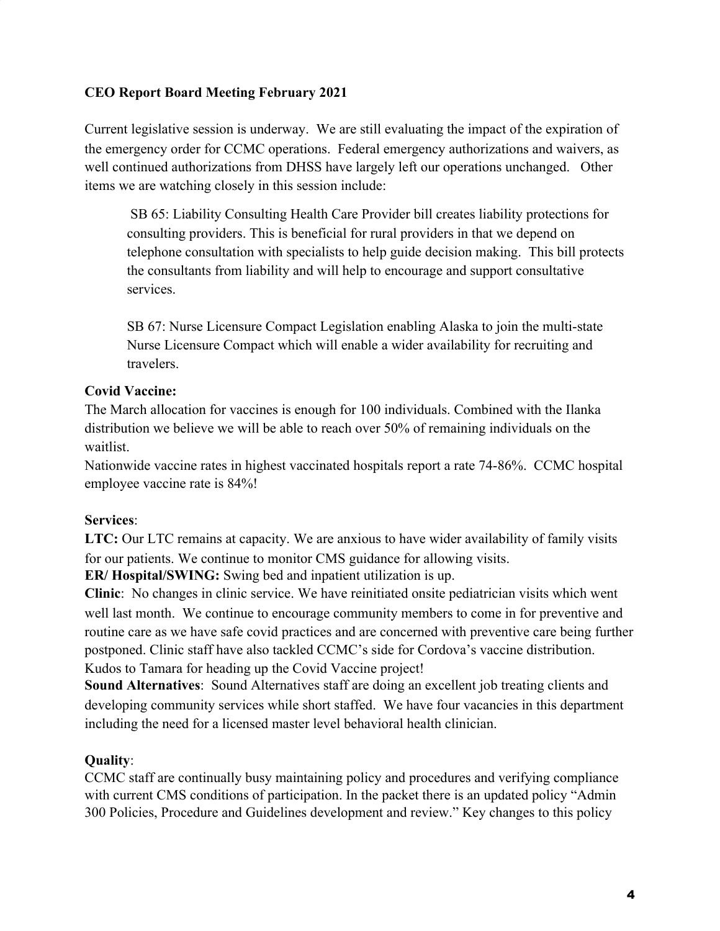#### **CEO Report Board Meeting February 2021**

Current legislative session is underway. We are still evaluating the impact of the expiration of the emergency order for CCMC operations. Federal emergency authorizations and waivers, as well continued authorizations from DHSS have largely left our operations unchanged. Other items we are watching closely in this session include:

 SB 65: Liability Consulting Health Care Provider bill creates liability protections for consulting providers. This is beneficial for rural providers in that we depend on telephone consultation with specialists to help guide decision making. This bill protects the consultants from liability and will help to encourage and support consultative services.

SB 67: Nurse Licensure Compact Legislation enabling Alaska to join the multi-state Nurse Licensure Compact which will enable a wider availability for recruiting and travelers.

#### **Covid Vaccine:**

The March allocation for vaccines is enough for 100 individuals. Combined with the Ilanka distribution we believe we will be able to reach over 50% of remaining individuals on the waitlist.

Nationwide vaccine rates in highest vaccinated hospitals report a rate 74-86%. CCMC hospital employee vaccine rate is 84%!

## **Services**:

**LTC:** Our LTC remains at capacity. We are anxious to have wider availability of family visits for our patients. We continue to monitor CMS guidance for allowing visits. **ER/ Hospital/SWING:** Swing bed and inpatient utilization is up.

**Clinic**: No changes in clinic service. We have reinitiated onsite pediatrician visits which went well last month. We continue to encourage community members to come in for preventive and routine care as we have safe covid practices and are concerned with preventive care being further

postponed. Clinic staff have also tackled CCMC's side for Cordova's vaccine distribution. Kudos to Tamara for heading up the Covid Vaccine project!

**Sound Alternatives**: Sound Alternatives staff are doing an excellent job treating clients and developing community services while short staffed. We have four vacancies in this department including the need for a licensed master level behavioral health clinician.

# **Quality**:

CCMC staff are continually busy maintaining policy and procedures and verifying compliance with current CMS conditions of participation. In the packet there is an updated policy "Admin 300 Policies, Procedure and Guidelines development and review." Key changes to this policy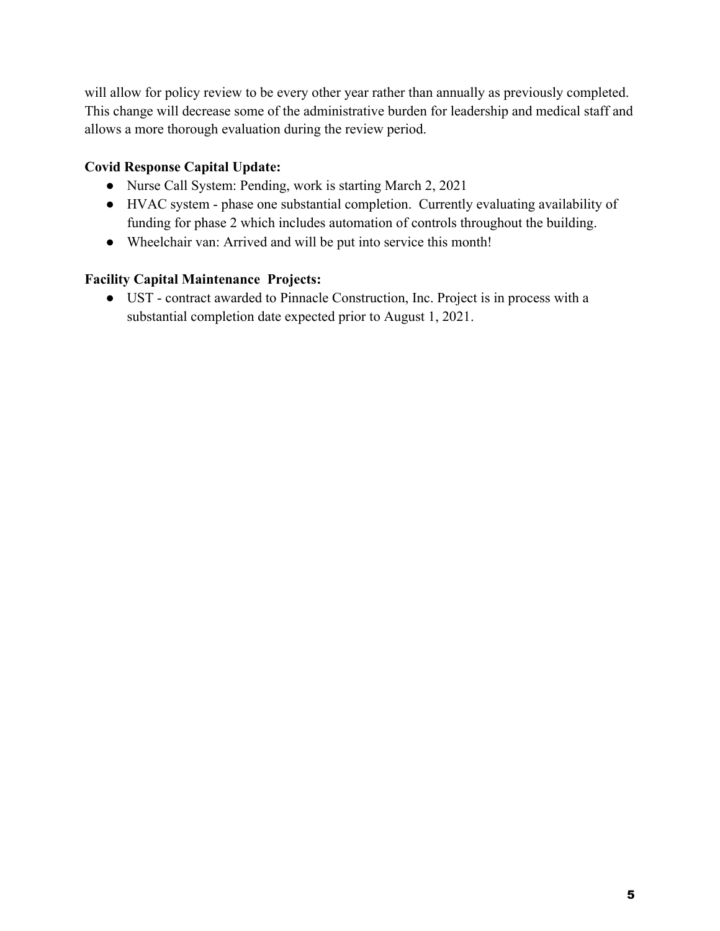will allow for policy review to be every other year rather than annually as previously completed. This change will decrease some of the administrative burden for leadership and medical staff and allows a more thorough evaluation during the review period.

## **Covid Response Capital Update:**

- Nurse Call System: Pending, work is starting March 2, 2021
- HVAC system phase one substantial completion. Currently evaluating availability of funding for phase 2 which includes automation of controls throughout the building.
- Wheelchair van: Arrived and will be put into service this month!

## **Facility Capital Maintenance Projects:**

● UST - contract awarded to Pinnacle Construction, Inc. Project is in process with a substantial completion date expected prior to August 1, 2021.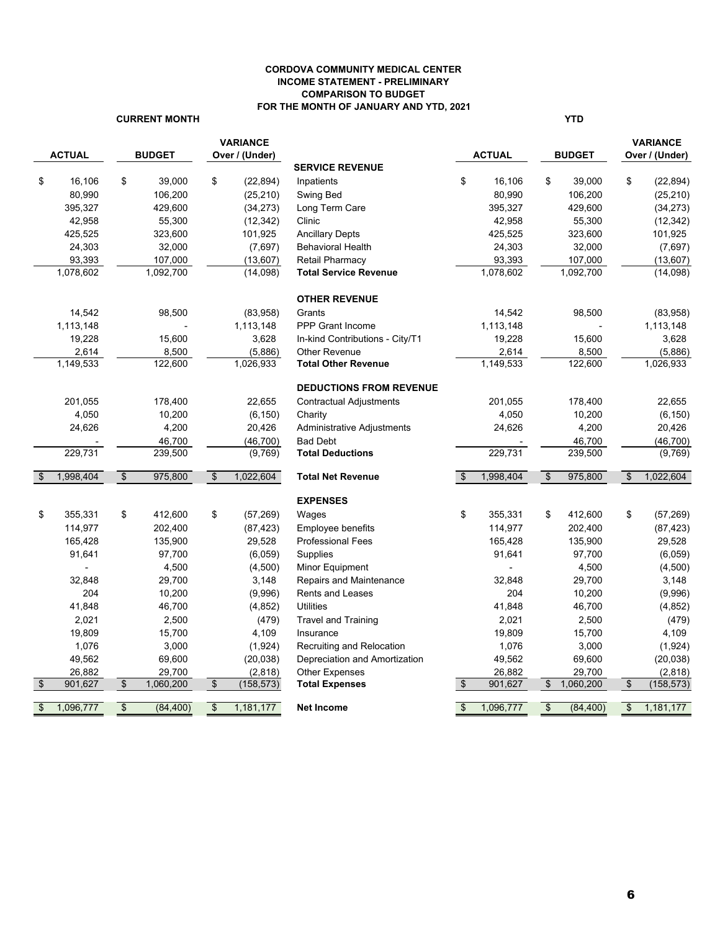#### **CORDOVA COMMUNITY MEDICAL CENTER INCOME STATEMENT - PRELIMINARY COMPARISON TO BUDGET FOR THE MONTH OF JANUARY AND YTD, 2021**

#### **CURRENT MONTH YTD**

|                 | <b>ACTUAL</b>  |                       | <b>BUDGET</b> |                          | <b>VARIANCE</b><br>Over / (Under) |                                 |                         | <b>ACTUAL</b> |                           | <b>BUDGET</b> |               | <b>VARIANCE</b><br>Over / (Under) |
|-----------------|----------------|-----------------------|---------------|--------------------------|-----------------------------------|---------------------------------|-------------------------|---------------|---------------------------|---------------|---------------|-----------------------------------|
|                 |                |                       |               |                          |                                   | <b>SERVICE REVENUE</b>          |                         |               |                           |               |               |                                   |
| \$              | 16,106         | \$                    | 39,000        | \$                       | (22, 894)                         | Inpatients                      | \$                      | 16,106        | \$                        | 39,000        | \$            | (22, 894)                         |
|                 | 80,990         |                       | 106,200       |                          | (25, 210)                         | Swing Bed                       |                         | 80,990        |                           | 106,200       |               | (25, 210)                         |
|                 | 395,327        |                       | 429,600       |                          | (34, 273)                         | Long Term Care                  |                         | 395,327       |                           | 429,600       |               | (34, 273)                         |
|                 | 42,958         |                       | 55,300        |                          | (12, 342)                         | Clinic                          |                         | 42,958        |                           | 55,300        |               | (12, 342)                         |
|                 | 425,525        |                       | 323,600       |                          | 101,925                           | <b>Ancillary Depts</b>          |                         | 425,525       |                           | 323,600       |               | 101,925                           |
|                 | 24,303         |                       | 32,000        |                          | (7,697)                           | <b>Behavioral Health</b>        |                         | 24,303        |                           | 32,000        |               | (7,697)                           |
|                 | 93,393         |                       | 107,000       |                          | (13,607)                          | <b>Retail Pharmacy</b>          |                         | 93,393        |                           | 107,000       |               | (13,607)                          |
|                 | 1,078,602      |                       | 1,092,700     |                          | (14,098)                          | <b>Total Service Revenue</b>    |                         | 1,078,602     |                           | 1,092,700     |               | (14,098)                          |
|                 |                |                       |               |                          |                                   | <b>OTHER REVENUE</b>            |                         |               |                           |               |               |                                   |
|                 | 14,542         |                       | 98,500        |                          | (83,958)                          | Grants                          |                         | 14,542        |                           | 98,500        |               | (83,958)                          |
|                 | 1,113,148      |                       |               |                          | 1,113,148                         | <b>PPP Grant Income</b>         |                         | 1,113,148     |                           |               |               | 1,113,148                         |
|                 | 19,228         |                       | 15,600        |                          | 3,628                             | In-kind Contributions - City/T1 |                         | 19,228        |                           | 15,600        |               | 3,628                             |
|                 | 2,614          |                       | 8,500         |                          | (5,886)                           | <b>Other Revenue</b>            |                         | 2,614         |                           | 8,500         |               | (5,886)                           |
|                 | 1,149,533      |                       | 122,600       |                          | 1,026,933                         | <b>Total Other Revenue</b>      |                         | 1,149,533     |                           | 122,600       |               | 1,026,933                         |
|                 |                |                       |               |                          |                                   | <b>DEDUCTIONS FROM REVENUE</b>  |                         |               |                           |               |               |                                   |
|                 | 201,055        |                       | 178,400       |                          | 22,655                            | <b>Contractual Adjustments</b>  |                         | 201,055       |                           | 178,400       |               | 22,655                            |
|                 | 4,050          |                       | 10,200        |                          | (6, 150)                          | Charity                         |                         | 4,050         |                           | 10,200        |               | (6, 150)                          |
|                 | 24,626         |                       | 4,200         |                          | 20,426                            | Administrative Adjustments      |                         | 24,626        |                           | 4,200         |               | 20,426                            |
|                 |                |                       | 46,700        |                          | (46, 700)                         | <b>Bad Debt</b>                 |                         |               |                           | 46,700        |               | (46, 700)                         |
|                 | 229,731        |                       | 239,500       |                          | (9,769)                           | <b>Total Deductions</b>         |                         | 229,731       |                           | 239,500       |               | (9,769)                           |
| $\mathfrak{S}$  | 1,998,404      | $\sqrt{3}$            | 975,800       | $\sqrt[6]{\frac{1}{2}}$  | 1,022,604                         | <b>Total Net Revenue</b>        | $\mathfrak{S}$          | 1,998,404     | $\mathfrak{S}$            | 975,800       | \$            | 1,022,604                         |
|                 |                |                       |               |                          |                                   | <b>EXPENSES</b>                 |                         |               |                           |               |               |                                   |
| \$              | 355,331        | \$                    | 412,600       | \$                       | (57, 269)                         | Wages                           | \$                      | 355,331       | \$                        | 412,600       | \$            | (57, 269)                         |
|                 | 114,977        |                       | 202,400       |                          | (87, 423)                         | <b>Employee benefits</b>        |                         | 114,977       |                           | 202,400       |               | (87, 423)                         |
|                 | 165,428        |                       | 135,900       |                          | 29,528                            | <b>Professional Fees</b>        |                         | 165,428       |                           | 135,900       |               | 29,528                            |
|                 | 91,641         |                       | 97,700        |                          | (6,059)                           | Supplies                        |                         | 91,641        |                           | 97,700        |               | (6,059)                           |
|                 | $\overline{a}$ |                       | 4,500         |                          | (4,500)                           | Minor Equipment                 |                         |               |                           | 4,500         |               | (4,500)                           |
|                 | 32,848         |                       | 29,700        |                          | 3,148                             | Repairs and Maintenance         |                         | 32,848        |                           | 29,700        |               | 3,148                             |
|                 | 204            |                       | 10,200        |                          | (9,996)                           | <b>Rents and Leases</b>         |                         | 204           |                           | 10,200        |               | (9,996)                           |
|                 | 41,848         |                       | 46,700        |                          | (4, 852)                          | <b>Utilities</b>                |                         | 41,848        |                           | 46,700        |               | (4, 852)                          |
|                 | 2,021          |                       | 2,500         |                          | (479)                             | <b>Travel and Training</b>      |                         | 2,021         |                           | 2,500         |               | (479)                             |
|                 | 19,809         |                       | 15,700        |                          | 4,109                             | Insurance                       |                         | 19,809        |                           | 15,700        |               | 4,109                             |
|                 | 1,076          |                       | 3,000         |                          | (1,924)                           | Recruiting and Relocation       |                         | 1,076         |                           | 3,000         |               | (1, 924)                          |
|                 | 49,562         |                       | 69,600        |                          | (20, 038)                         | Depreciation and Amortization   |                         | 49,562        |                           | 69,600        |               | (20, 038)                         |
|                 | 26,882         |                       | 29,700        |                          | (2, 818)                          | <b>Other Expenses</b>           |                         | 26,882        |                           | 29,700        |               | (2,818)                           |
| $\overline{\$}$ | 901,627        | $\boldsymbol{\theta}$ | 1,060,200     | $\frac{1}{2}$            | (158, 573)                        | <b>Total Expenses</b>           | $\sqrt[6]{3}$           | 901,627       | \$                        | 1,060,200     | $\frac{1}{2}$ | (158, 573)                        |
| \$              | 1,096,777      | $\sqrt{3}$            | (84, 400)     | $\overline{\mathcal{L}}$ | 1,181,177                         | <b>Net Income</b>               | $\sqrt[6]{\frac{1}{2}}$ | 1,096,777     | $\boldsymbol{\mathsf{s}}$ | (84, 400)     | $\mathsf{\$}$ | 1,181,177                         |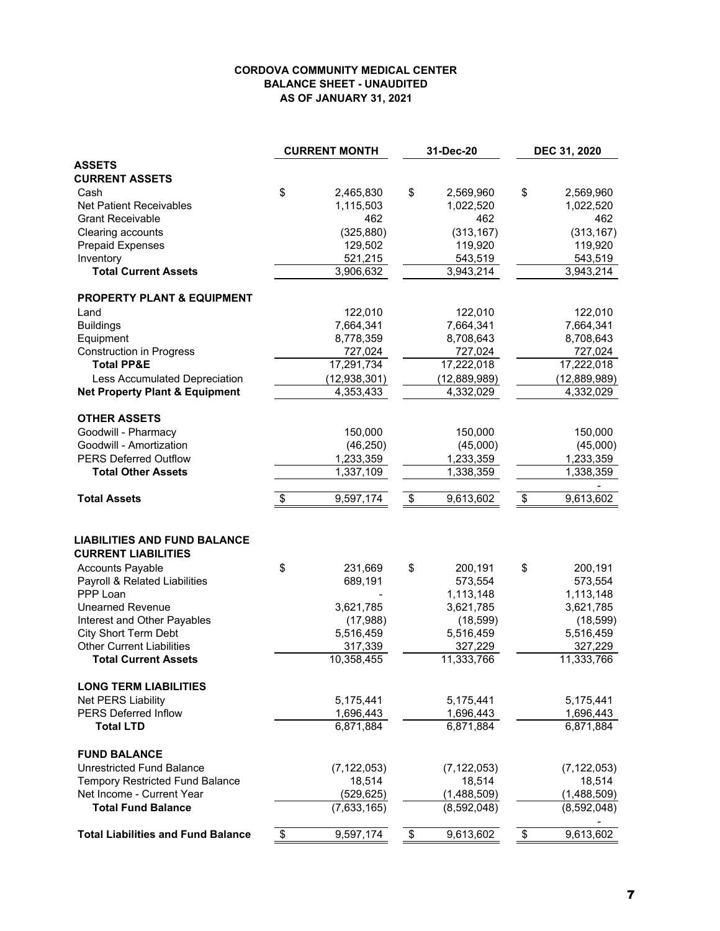#### **CORDOVA COMMUNITY MEDICAL CENTER BALANCE SHEET - UNAUDITED AS OF JANUARY 31, 2021**

|                                                                   | <b>CURRENT MONTH</b> | 31-Dec-20       | DEC 31, 2020    |
|-------------------------------------------------------------------|----------------------|-----------------|-----------------|
| <b>ASSETS</b>                                                     |                      |                 |                 |
| <b>CURRENT ASSETS</b>                                             |                      |                 |                 |
| Cash                                                              | \$<br>2,465,830      | \$<br>2,569,960 | \$<br>2,569,960 |
| <b>Net Patient Receivables</b>                                    | 1,115,503            | 1,022,520       | 1,022,520       |
| <b>Grant Receivable</b>                                           | 462                  | 462             | 462             |
| Clearing accounts                                                 | (325, 880)           | (313, 167)      | (313, 167)      |
| <b>Prepaid Expenses</b>                                           | 129,502              | 119,920         | 119,920         |
| Inventory                                                         | 521,215              | 543,519         | 543,519         |
| <b>Total Current Assets</b>                                       | 3,906,632            | 3,943,214       | 3,943,214       |
| <b>PROPERTY PLANT &amp; EQUIPMENT</b>                             |                      |                 |                 |
| Land                                                              | 122,010              | 122,010         | 122,010         |
| <b>Buildings</b>                                                  | 7,664,341            | 7,664,341       | 7,664,341       |
| Equipment                                                         | 8,778,359            | 8,708,643       | 8,708,643       |
| <b>Construction in Progress</b>                                   | 727,024              | 727,024         | 727,024         |
| <b>Total PP&amp;E</b>                                             | 17,291,734           | 17,222,018      | 17,222,018      |
| Less Accumulated Depreciation                                     | (12,938,301)         | (12,889,989)    | (12,889,989)    |
| <b>Net Property Plant &amp; Equipment</b>                         | 4,353,433            | 4,332,029       | 4,332,029       |
| <b>OTHER ASSETS</b>                                               |                      |                 |                 |
| Goodwill - Pharmacy                                               | 150,000              | 150,000         | 150,000         |
| Goodwill - Amortization                                           | (46, 250)            | (45,000)        | (45,000)        |
| <b>PERS Deferred Outflow</b>                                      | 1,233,359            | 1,233,359       | 1,233,359       |
| <b>Total Other Assets</b>                                         | 1,337,109            | 1,338,359       | 1,338,359       |
| <b>Total Assets</b>                                               | \$<br>9,597,174      | \$<br>9,613,602 | \$<br>9,613,602 |
| <b>LIABILITIES AND FUND BALANCE</b><br><b>CURRENT LIABILITIES</b> |                      |                 |                 |
| <b>Accounts Payable</b>                                           | \$<br>231,669        | \$<br>200,191   | \$<br>200,191   |
| Payroll & Related Liabilities                                     | 689,191              | 573,554         | 573,554         |
| PPP Loan                                                          |                      | 1,113,148       | 1,113,148       |
| <b>Unearned Revenue</b>                                           | 3,621,785            | 3,621,785       | 3,621,785       |
| Interest and Other Payables                                       | (17,988)             | (18, 599)       | (18, 599)       |
| <b>City Short Term Debt</b>                                       | 5,516,459            | 5,516,459       | 5,516,459       |
| <b>Other Current Liabilities</b>                                  | 317,339              | 327,229         | 327,229         |
| <b>Total Current Assets</b>                                       | 10,358,455           | 11,333,766      | 11,333,766      |
| <b>LONG TERM LIABILITIES</b>                                      |                      |                 |                 |
| Net PERS Liability                                                | 5,175,441            | 5,175,441       | 5,175,441       |
| <b>PERS Deferred Inflow</b>                                       | 1,696,443            | 1,696,443       | 1,696,443       |
| <b>Total LTD</b>                                                  | 6,871,884            | 6,871,884       | 6,871,884       |
| <b>FUND BALANCE</b>                                               |                      |                 |                 |
| <b>Unrestricted Fund Balance</b>                                  | (7, 122, 053)        | (7, 122, 053)   | (7, 122, 053)   |
| <b>Tempory Restricted Fund Balance</b>                            | 18,514               | 18,514          | 18,514          |
| Net Income - Current Year                                         | (529, 625)           | (1,488,509)     | (1,488,509)     |
| <b>Total Fund Balance</b>                                         | (7,633,165)          | (8,592,048)     | (8,592,048)     |
| <b>Total Liabilities and Fund Balance</b>                         | \$<br>9,597,174      | \$<br>9,613,602 | \$<br>9,613,602 |
|                                                                   |                      |                 |                 |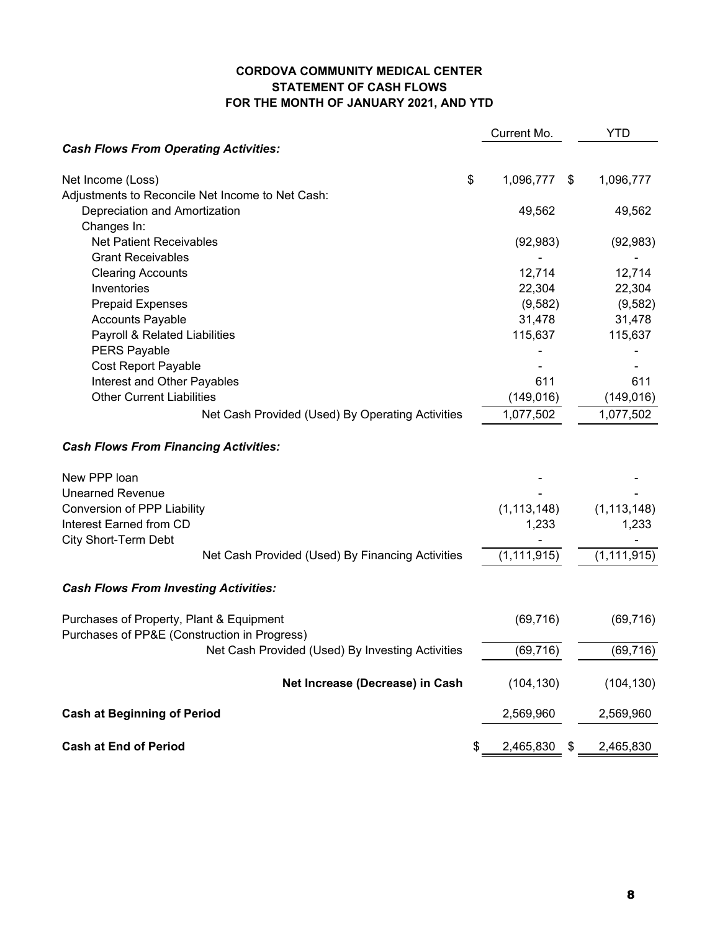#### **CORDOVA COMMUNITY MEDICAL CENTER STATEMENT OF CASH FLOWS FOR THE MONTH OF JANUARY 2021, AND YTD**

|                                                  | Current Mo.           | YTD           |
|--------------------------------------------------|-----------------------|---------------|
| <b>Cash Flows From Operating Activities:</b>     |                       |               |
| \$<br>Net Income (Loss)                          | 1,096,777<br>\$       | 1,096,777     |
| Adjustments to Reconcile Net Income to Net Cash: |                       |               |
| Depreciation and Amortization                    | 49,562                | 49,562        |
| Changes In:                                      |                       |               |
| <b>Net Patient Receivables</b>                   | (92, 983)             | (92, 983)     |
| <b>Grant Receivables</b>                         |                       |               |
| <b>Clearing Accounts</b>                         | 12,714                | 12,714        |
| Inventories                                      | 22,304                | 22,304        |
| <b>Prepaid Expenses</b>                          | (9,582)               | (9, 582)      |
| <b>Accounts Payable</b>                          | 31,478                | 31,478        |
| Payroll & Related Liabilities                    | 115,637               | 115,637       |
| <b>PERS Payable</b>                              |                       |               |
| <b>Cost Report Payable</b>                       |                       |               |
| Interest and Other Payables                      | 611                   | 611           |
| <b>Other Current Liabilities</b>                 | (149, 016)            | (149, 016)    |
| Net Cash Provided (Used) By Operating Activities | 1,077,502             | 1,077,502     |
| <b>Cash Flows From Financing Activities:</b>     |                       |               |
| New PPP loan                                     |                       |               |
| <b>Unearned Revenue</b>                          |                       |               |
| Conversion of PPP Liability                      | (1, 113, 148)         | (1, 113, 148) |
| Interest Earned from CD                          | 1,233                 | 1,233         |
| City Short-Term Debt                             |                       |               |
| Net Cash Provided (Used) By Financing Activities | (1, 111, 915)         | (1, 111, 915) |
| <b>Cash Flows From Investing Activities:</b>     |                       |               |
| Purchases of Property, Plant & Equipment         | (69, 716)             | (69, 716)     |
| Purchases of PP&E (Construction in Progress)     |                       |               |
| Net Cash Provided (Used) By Investing Activities | (69, 716)             | (69, 716)     |
| Net Increase (Decrease) in Cash                  | (104, 130)            | (104, 130)    |
| <b>Cash at Beginning of Period</b>               | 2,569,960             | 2,569,960     |
| <b>Cash at End of Period</b>                     | \$<br>2,465,830<br>\$ | 2,465,830     |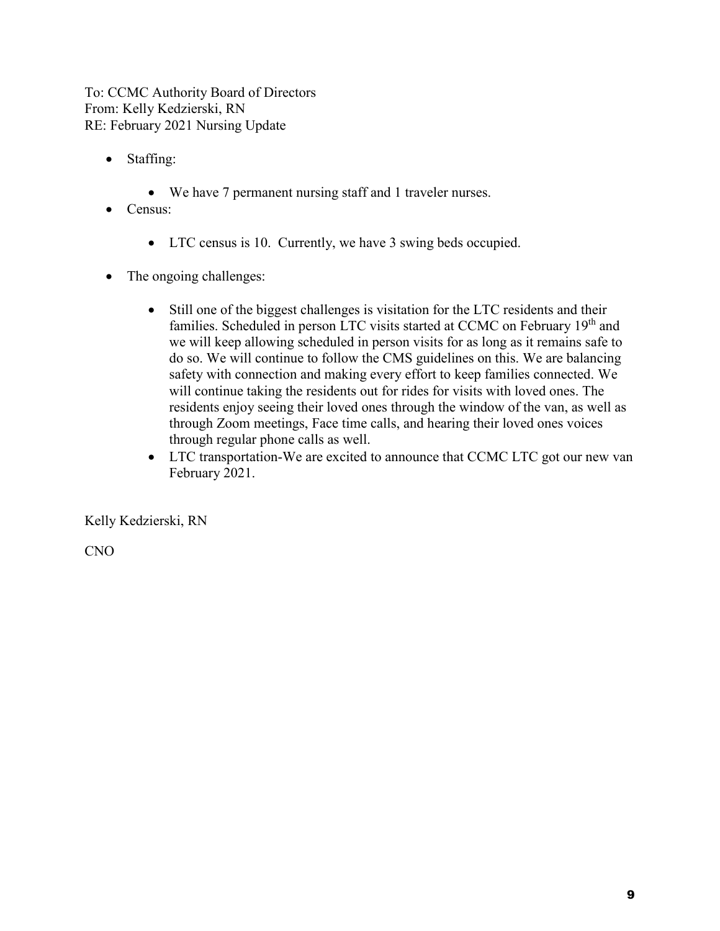To: CCMC Authority Board of Directors From: Kelly Kedzierski, RN RE: February 2021 Nursing Update

- Staffing:
	- We have 7 permanent nursing staff and 1 traveler nurses.
- Census:
	- LTC census is 10. Currently, we have 3 swing beds occupied.
- The ongoing challenges:
	- Still one of the biggest challenges is visitation for the LTC residents and their families. Scheduled in person LTC visits started at CCMC on February 19<sup>th</sup> and we will keep allowing scheduled in person visits for as long as it remains safe to do so. We will continue to follow the CMS guidelines on this. We are balancing safety with connection and making every effort to keep families connected. We will continue taking the residents out for rides for visits with loved ones. The residents enjoy seeing their loved ones through the window of the van, as well as through Zoom meetings, Face time calls, and hearing their loved ones voices through regular phone calls as well.
	- LTC transportation-We are excited to announce that CCMC LTC got our new van February 2021.

Kelly Kedzierski, RN

CNO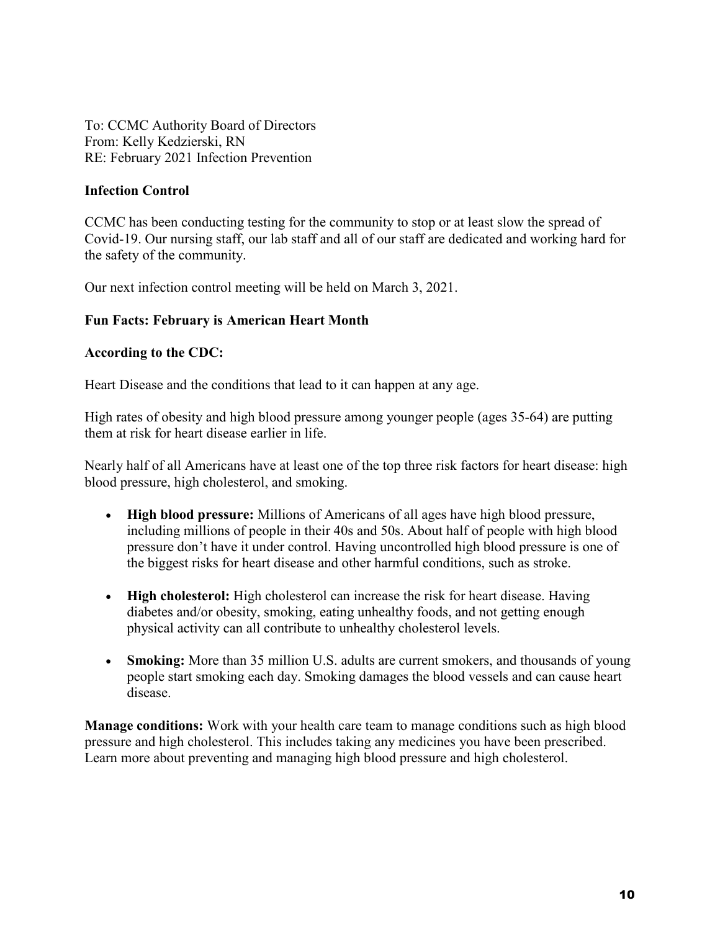To: CCMC Authority Board of Directors From: Kelly Kedzierski, RN RE: February 2021 Infection Prevention

#### **Infection Control**

CCMC has been conducting testing for the community to stop or at least slow the spread of Covid-19. Our nursing staff, our lab staff and all of our staff are dedicated and working hard for the safety of the community.

Our next infection control meeting will be held on March 3, 2021.

#### **Fun Facts: February is American Heart Month**

#### **According to the CDC:**

Heart Disease and the conditions that lead to it can happen at any age.

High rates of obesity and high blood pressure among younger people (ages 35-64) are putting them at risk for heart disease earlier in life.

Nearly half of all Americans have at least one of the top three risk factors for heart disease: high blood pressure, high cholesterol, and smoking.

- **High blood pressure:** Millions of Americans of all ages have high blood pressure, including millions of people in their 40s and 50s. About half of people with high blood pressure don't have it under control. Having uncontrolled high blood pressure is one of the biggest risks for heart disease and other harmful conditions, such as stroke.
- **High cholesterol:** High cholesterol can increase the risk for heart disease. Having diabetes and/or obesity, smoking, eating unhealthy foods, and not getting enough physical activity can all contribute to unhealthy cholesterol levels.
- **Smoking:** More than 35 million U.S. adults are current smokers, and thousands of young people start smoking each day. Smoking damages the blood vessels and can cause heart disease.

**Manage conditions:** Work with your health care team to manage conditions such as high blood pressure and high cholesterol. This includes taking any medicines you have been prescribed. Learn more about preventing and managing high blood pressure and high cholesterol.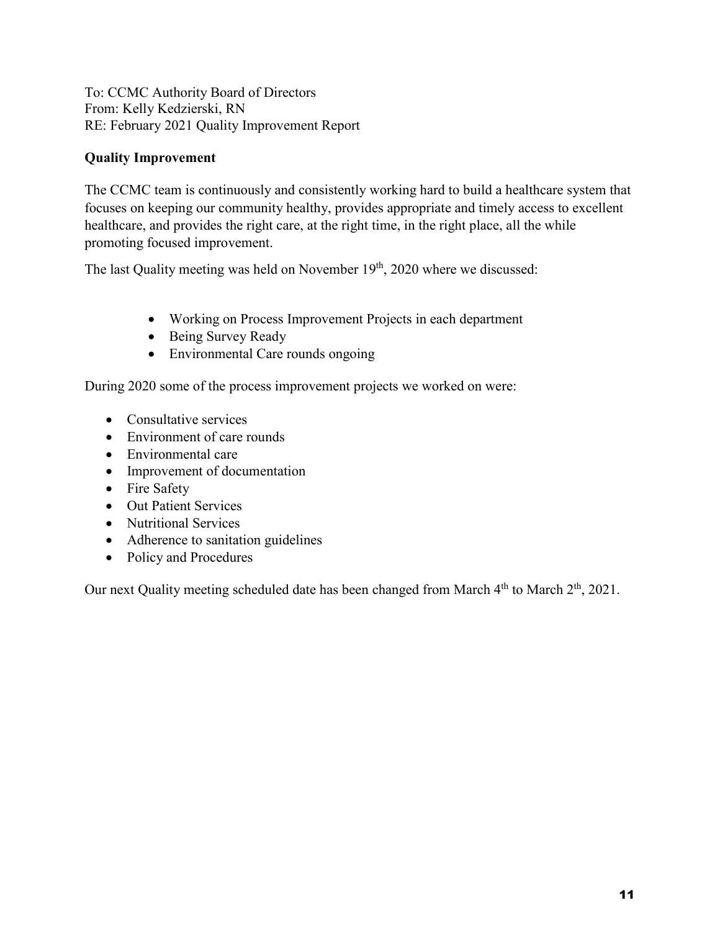To: CCMC Authority Board of Directors From: Kelly Kedzierski, RN RE: February 2021 Quality Improvement Report

#### **Quality Improvement**

The CCMC team is continuously and consistently working hard to build a healthcare system that focuses on keeping our community healthy, provides appropriate and timely access to excellent healthcare, and provides the right care, at the right time, in the right place, all the while promoting focused improvement.

The last Quality meeting was held on November 19<sup>th</sup>, 2020 where we discussed:

- Working on Process Improvement Projects in each department
- Being Survey Ready
- Environmental Care rounds ongoing

During 2020 some of the process improvement projects we worked on were:

- Consultative services
- Environment of care rounds
- Environmental care
- Improvement of documentation
- Fire Safety
- Out Patient Services
- Nutritional Services
- Adherence to sanitation guidelines
- Policy and Procedures

Our next Quality meeting scheduled date has been changed from March 4<sup>th</sup> to March 2<sup>th</sup>, 2021.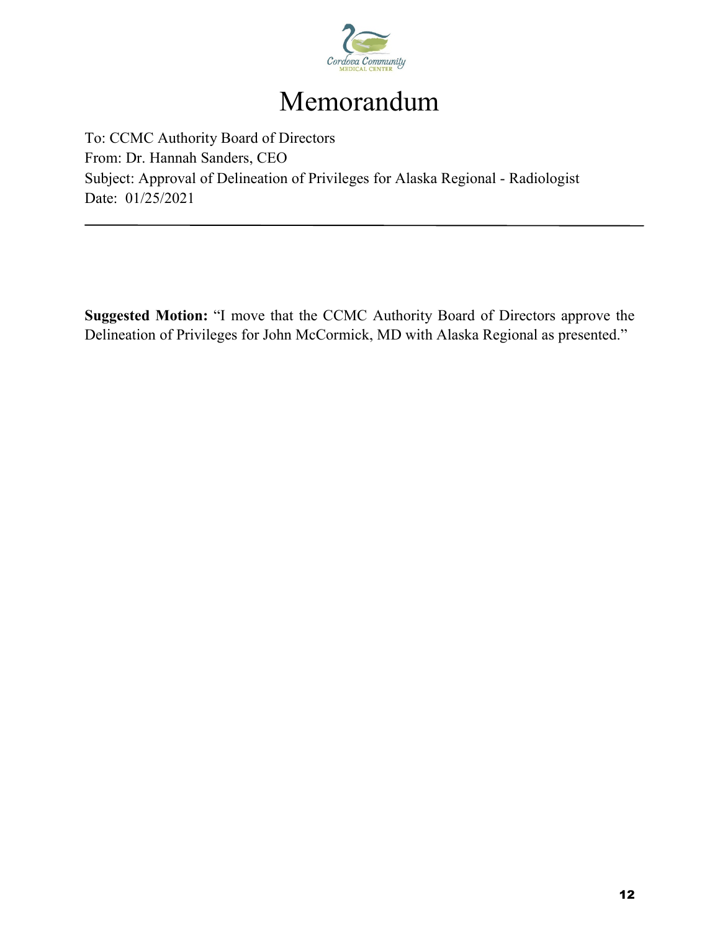

# Memorandum

To: CCMC Authority Board of Directors From: Dr. Hannah Sanders, CEO Subject: Approval of Delineation of Privileges for Alaska Regional - Radiologist Date: 01/25/2021

**Suggested Motion:** "I move that the CCMC Authority Board of Directors approve the Delineation of Privileges for John McCormick, MD with Alaska Regional as presented."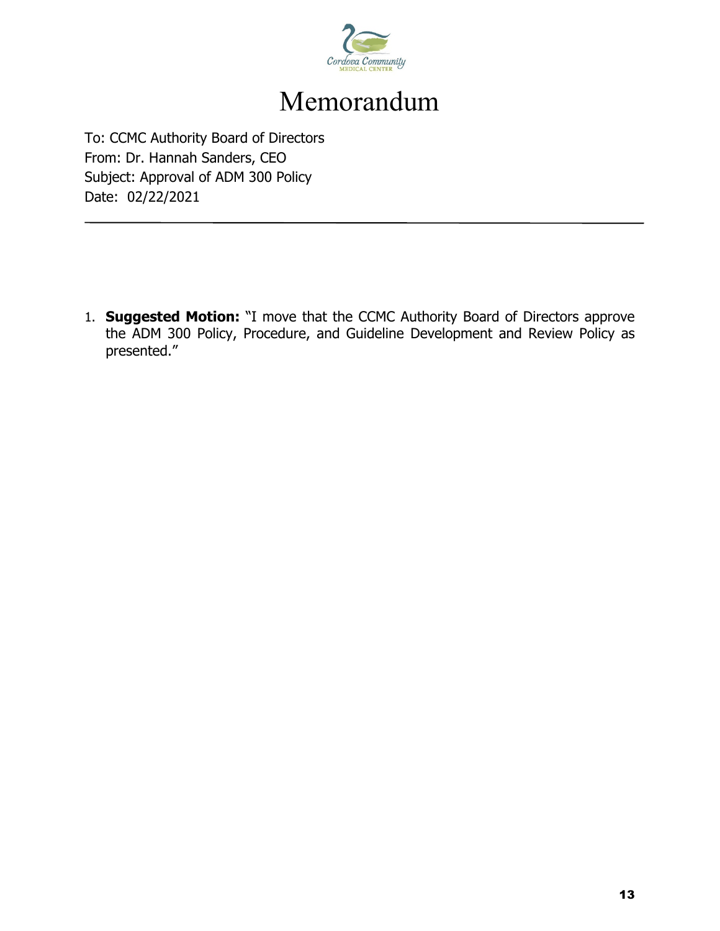

# Memorandum

To: CCMC Authority Board of Directors From: Dr. Hannah Sanders, CEO Subject: Approval of ADM 300 Policy Date: 02/22/2021

1. **Suggested Motion:** "I move that the CCMC Authority Board of Directors approve the ADM 300 Policy, Procedure, and Guideline Development and Review Policy as presented."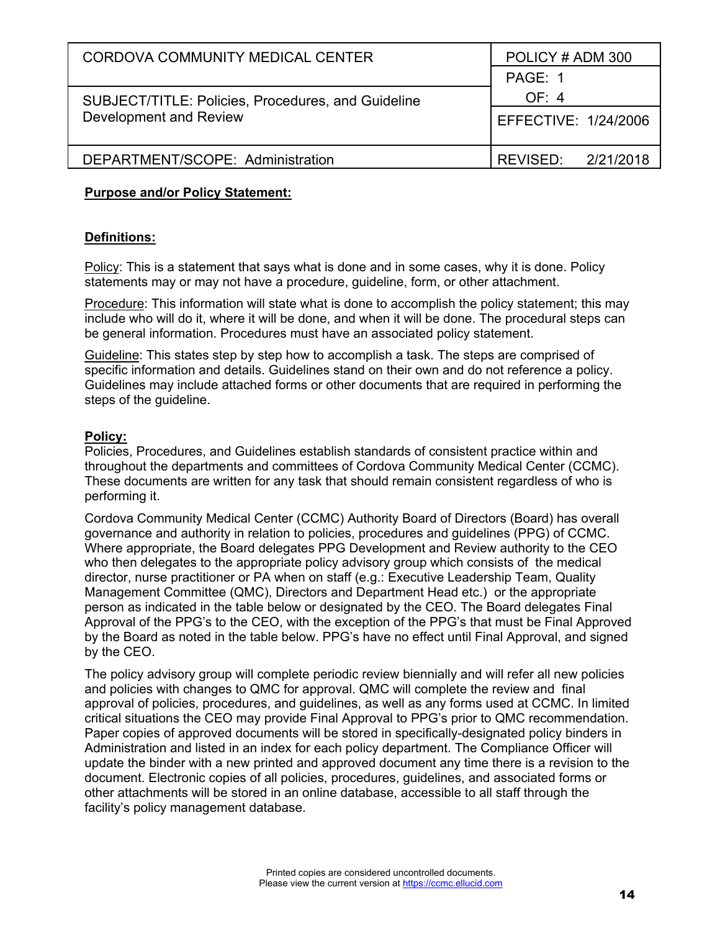| CORDOVA COMMUNITY MEDICAL CENTER                          | POLICY#ADM 300       |  |  |
|-----------------------------------------------------------|----------------------|--|--|
|                                                           | PAGE: 1              |  |  |
| <b>SUBJECT/TITLE: Policies, Procedures, and Guideline</b> | OF: 4                |  |  |
| Development and Review                                    | EFFECTIVE: 1/24/2006 |  |  |
| DEPARTMENT/SCOPE: Administration                          | REVISED: 2/21/2018   |  |  |

#### **Purpose and/or Policy Statement:**

#### **Definitions:**

Policy: This is a statement that says what is done and in some cases, why it is done. Policy statements may or may not have a procedure, guideline, form, or other attachment.

Procedure: This information will state what is done to accomplish the policy statement; this may include who will do it, where it will be done, and when it will be done. The procedural steps can be general information. Procedures must have an associated policy statement.

Guideline: This states step by step how to accomplish a task. The steps are comprised of specific information and details. Guidelines stand on their own and do not reference a policy. Guidelines may include attached forms or other documents that are required in performing the steps of the guideline.

#### **Policy:**

Policies, Procedures, and Guidelines establish standards of consistent practice within and throughout the departments and committees of Cordova Community Medical Center (CCMC). These documents are written for any task that should remain consistent regardless of who is performing it.

Cordova Community Medical Center (CCMC) Authority Board of Directors (Board) has overall governance and authority in relation to policies, procedures and guidelines (PPG) of CCMC. Where appropriate, the Board delegates PPG Development and Review authority to the CEO who then delegates to the appropriate policy advisory group which consists of the medical director, nurse practitioner or PA when on staff (e.g.: Executive Leadership Team, Quality Management Committee (QMC), Directors and Department Head etc.) or the appropriate person as indicated in the table below or designated by the CEO. The Board delegates Final Approval of the PPG's to the CEO, with the exception of the PPG's that must be Final Approved by the Board as noted in the table below. PPG's have no effect until Final Approval, and signed by the CEO.

The policy advisory group will complete periodic review biennially and will refer all new policies and policies with changes to QMC for approval. QMC will complete the review and final approval of policies, procedures, and guidelines, as well as any forms used at CCMC. In limited critical situations the CEO may provide Final Approval to PPG's prior to QMC recommendation. Paper copies of approved documents will be stored in specifically-designated policy binders in Administration and listed in an index for each policy department. The Compliance Officer will update the binder with a new printed and approved document any time there is a revision to the document. Electronic copies of all policies, procedures, guidelines, and associated forms or other attachments will be stored in an online database, accessible to all staff through the facility's policy management database.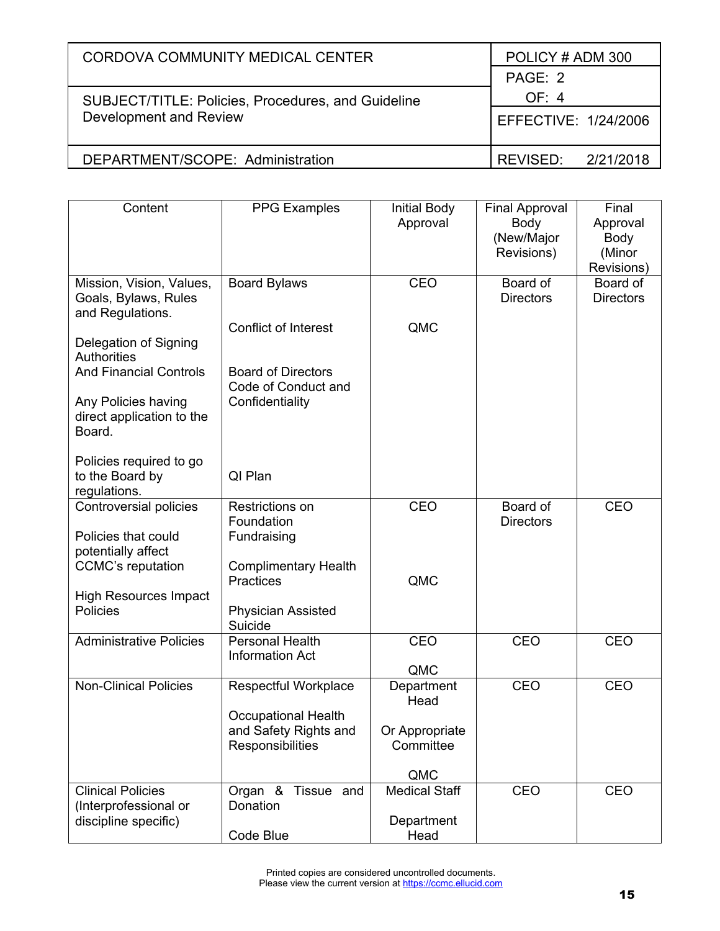| CORDOVA COMMUNITY MEDICAL CENTER                   | POLICY#ADM 300       |  |  |
|----------------------------------------------------|----------------------|--|--|
|                                                    | PAGE: 2              |  |  |
| SUBJECT/TITLE: Policies, Procedures, and Guideline | OF: 4                |  |  |
| Development and Review                             | EFFECTIVE: 1/24/2006 |  |  |
| DEPARTMENT/SCOPE: Administration                   | REVISED: 2/21/2018   |  |  |
|                                                    |                      |  |  |

| Content                              | <b>PPG Examples</b>         | <b>Initial Body</b>  | <b>Final Approval</b> | Final            |
|--------------------------------------|-----------------------------|----------------------|-----------------------|------------------|
|                                      |                             | Approval             | Body                  | Approval         |
|                                      |                             |                      | (New/Major            | Body             |
|                                      |                             |                      | Revisions)            | (Minor           |
|                                      |                             |                      |                       | Revisions)       |
| Mission, Vision, Values,             | <b>Board Bylaws</b>         | CEO                  | Board of              | Board of         |
| Goals, Bylaws, Rules                 |                             |                      | <b>Directors</b>      | <b>Directors</b> |
| and Regulations.                     |                             |                      |                       |                  |
|                                      | <b>Conflict of Interest</b> | QMC                  |                       |                  |
| Delegation of Signing<br>Authorities |                             |                      |                       |                  |
| <b>And Financial Controls</b>        | <b>Board of Directors</b>   |                      |                       |                  |
|                                      | Code of Conduct and         |                      |                       |                  |
| Any Policies having                  | Confidentiality             |                      |                       |                  |
| direct application to the            |                             |                      |                       |                  |
| Board.                               |                             |                      |                       |                  |
|                                      |                             |                      |                       |                  |
| Policies required to go              |                             |                      |                       |                  |
| to the Board by                      | QI Plan                     |                      |                       |                  |
| regulations.                         |                             |                      |                       |                  |
| Controversial policies               | Restrictions on             | CEO                  | Board of              | <b>CEO</b>       |
|                                      | Foundation                  |                      | <b>Directors</b>      |                  |
| Policies that could                  | Fundraising                 |                      |                       |                  |
| potentially affect                   |                             |                      |                       |                  |
| <b>CCMC's reputation</b>             | <b>Complimentary Health</b> | QMC                  |                       |                  |
| <b>High Resources Impact</b>         | Practices                   |                      |                       |                  |
| Policies                             | <b>Physician Assisted</b>   |                      |                       |                  |
|                                      | Suicide                     |                      |                       |                  |
| <b>Administrative Policies</b>       | <b>Personal Health</b>      | CEO                  | <b>CEO</b>            | CEO              |
|                                      | <b>Information Act</b>      |                      |                       |                  |
|                                      |                             | QMC                  |                       |                  |
| Non-Clinical Policies                | Respectful Workplace        | Department           | CEO                   | CEO              |
|                                      |                             | Head                 |                       |                  |
|                                      | <b>Occupational Health</b>  |                      |                       |                  |
|                                      | and Safety Rights and       | Or Appropriate       |                       |                  |
|                                      | Responsibilities            | Committee            |                       |                  |
|                                      |                             |                      |                       |                  |
|                                      |                             | QMC                  |                       |                  |
| <b>Clinical Policies</b>             | Organ &<br>Tissue and       | <b>Medical Staff</b> | CEO                   | CEO              |
| (Interprofessional or                | Donation                    |                      |                       |                  |
| discipline specific)                 |                             | Department           |                       |                  |
|                                      | Code Blue                   | Head                 |                       |                  |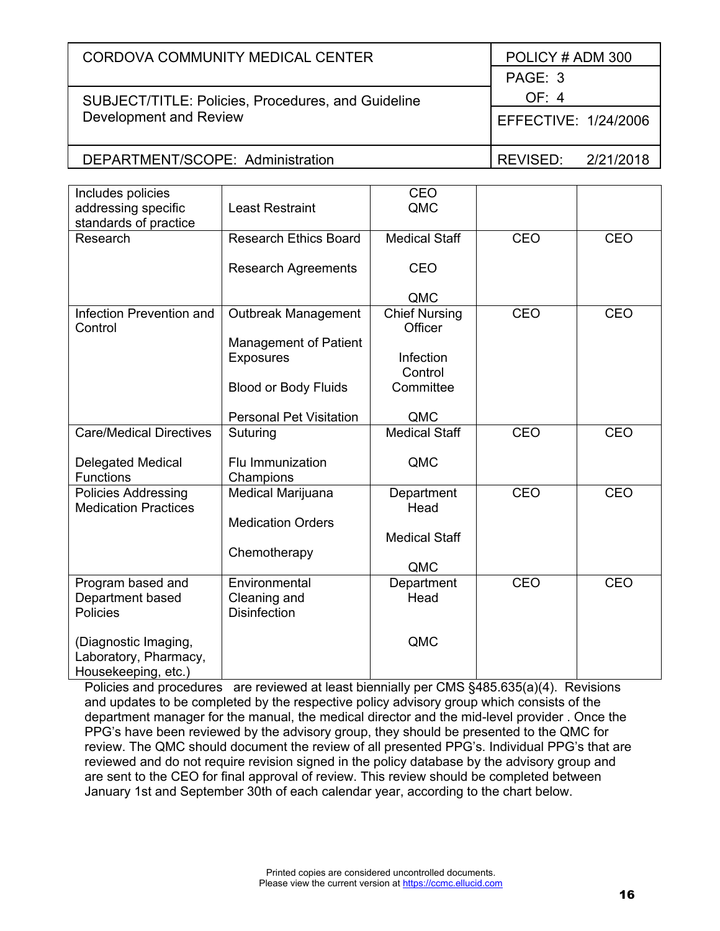| CORDOVA COMMUNITY MEDICAL CENTER                   | POLICY # ADM 300      |
|----------------------------------------------------|-----------------------|
|                                                    | PAGE: 3               |
| SUBJECT/TITLE: Policies, Procedures, and Guideline | OF: 4                 |
| Development and Review                             | EFFECTIVE: 1/24/2006  |
| DEPARTMENT/SCOPE: Administration                   | 2/21/2018<br>REVISED: |

| Includes policies<br>addressing specific     | <b>Least Restraint</b>         | CEO<br>QMC                      |     |            |
|----------------------------------------------|--------------------------------|---------------------------------|-----|------------|
| standards of practice                        |                                |                                 |     |            |
| Research                                     | <b>Research Ethics Board</b>   | <b>Medical Staff</b>            | CEO | CEO        |
|                                              | <b>Research Agreements</b>     | CEO                             |     |            |
|                                              |                                |                                 |     |            |
|                                              |                                | QMC                             |     |            |
| Infection Prevention and<br>Control          | Outbreak Management            | <b>Chief Nursing</b><br>Officer | CEO | CEO        |
|                                              | Management of Patient          |                                 |     |            |
|                                              | <b>Exposures</b>               | Infection                       |     |            |
|                                              |                                | Control                         |     |            |
|                                              | <b>Blood or Body Fluids</b>    | Committee                       |     |            |
|                                              | <b>Personal Pet Visitation</b> | QMC                             |     |            |
| <b>Care/Medical Directives</b>               | Suturing                       | <b>Medical Staff</b>            | CEO | CEO        |
|                                              |                                |                                 |     |            |
| <b>Delegated Medical</b><br><b>Functions</b> | Flu Immunization<br>Champions  | QMC                             |     |            |
| <b>Policies Addressing</b>                   | Medical Marijuana              | Department                      | CEO | <b>CEO</b> |
| <b>Medication Practices</b>                  |                                | Head                            |     |            |
|                                              | <b>Medication Orders</b>       |                                 |     |            |
|                                              |                                | <b>Medical Staff</b>            |     |            |
|                                              | Chemotherapy                   | QMC                             |     |            |
| Program based and                            | Environmental                  | Department                      | CEO | CEO        |
| Department based                             | Cleaning and                   | Head                            |     |            |
| Policies                                     | <b>Disinfection</b>            |                                 |     |            |
|                                              |                                |                                 |     |            |
| (Diagnostic Imaging,                         |                                | QMC                             |     |            |
| Laboratory, Pharmacy,                        |                                |                                 |     |            |
| Housekeeping, etc.)                          |                                |                                 |     |            |

Policies and procedures are reviewed at least biennially per CMS §485.635(a)(4). Revisions and updates to be completed by the respective policy advisory group which consists of the department manager for the manual, the medical director and the mid-level provider . Once the PPG's have been reviewed by the advisory group, they should be presented to the QMC for review. The QMC should document the review of all presented PPG's. Individual PPG's that are reviewed and do not require revision signed in the policy database by the advisory group and are sent to the CEO for final approval of review. This review should be completed between January 1st and September 30th of each calendar year, according to the chart below.